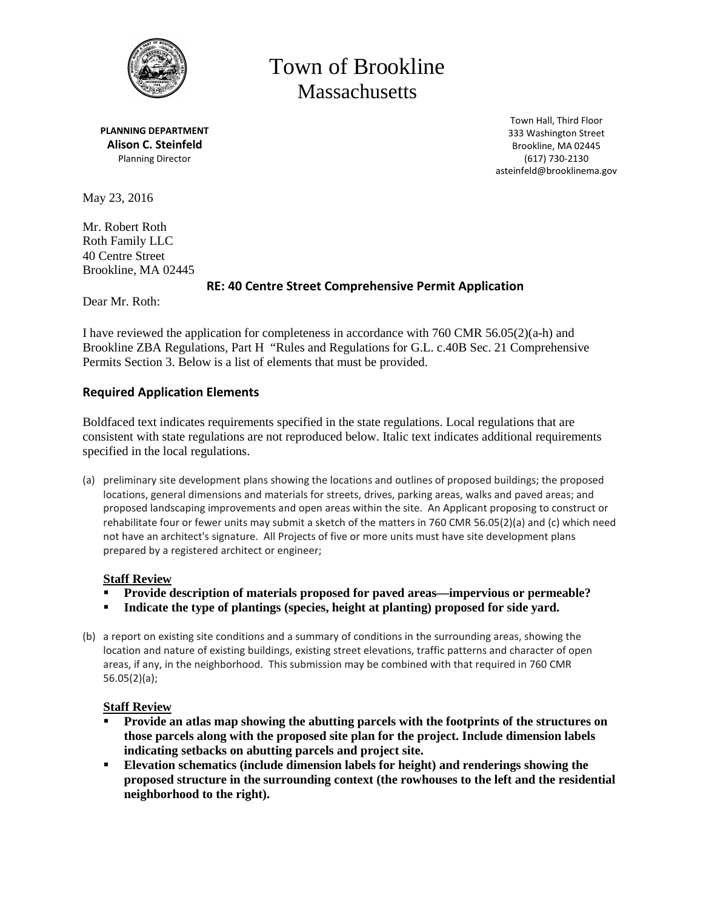

# Town of Brookline **Massachusetts**

**PLANNING DEPARTMENT Alison C. Steinfeld** Planning Director

Town Hall, Third Floor 333 Washington Street Brookline, MA 02445 (617) 730-2130 asteinfeld@brooklinema.gov

May 23, 2016

Mr. Robert Roth Roth Family LLC 40 Centre Street Brookline, MA 02445

# **RE: 40 Centre Street Comprehensive Permit Application**

Dear Mr. Roth:

I have reviewed the application for completeness in accordance with 760 CMR 56.05(2)(a-h) and Brookline ZBA Regulations, Part H "Rules and Regulations for G.L. c.40B Sec. 21 Comprehensive Permits Section 3. Below is a list of elements that must be provided.

# **Required Application Elements**

Boldfaced text indicates requirements specified in the state regulations. Local regulations that are consistent with state regulations are not reproduced below. Italic text indicates additional requirements specified in the local regulations.

(a) preliminary site development plans showing the locations and outlines of proposed buildings; the proposed locations, general dimensions and materials for streets, drives, parking areas, walks and paved areas; and proposed landscaping improvements and open areas within the site. An Applicant proposing to construct or rehabilitate four or fewer units may submit a sketch of the matters in 760 CMR 56.05(2)(a) and (c) which need not have an architect's signature. All Projects of five or more units must have site development plans prepared by a registered architect or engineer;

# **Staff Review**

- **Provide description of materials proposed for paved areas—impervious or permeable?**
- **Indicate the type of plantings (species, height at planting) proposed for side yard.**
- (b) a report on existing site conditions and a summary of conditions in the surrounding areas, showing the location and nature of existing buildings, existing street elevations, traffic patterns and character of open areas, if any, in the neighborhood. This submission may be combined with that required in 760 CMR 56.05(2)(a);

# **Staff Review**

- **Provide an atlas map showing the abutting parcels with the footprints of the structures on those parcels along with the proposed site plan for the project. Include dimension labels indicating setbacks on abutting parcels and project site.**
- **Elevation schematics (include dimension labels for height) and renderings showing the proposed structure in the surrounding context (the rowhouses to the left and the residential neighborhood to the right).**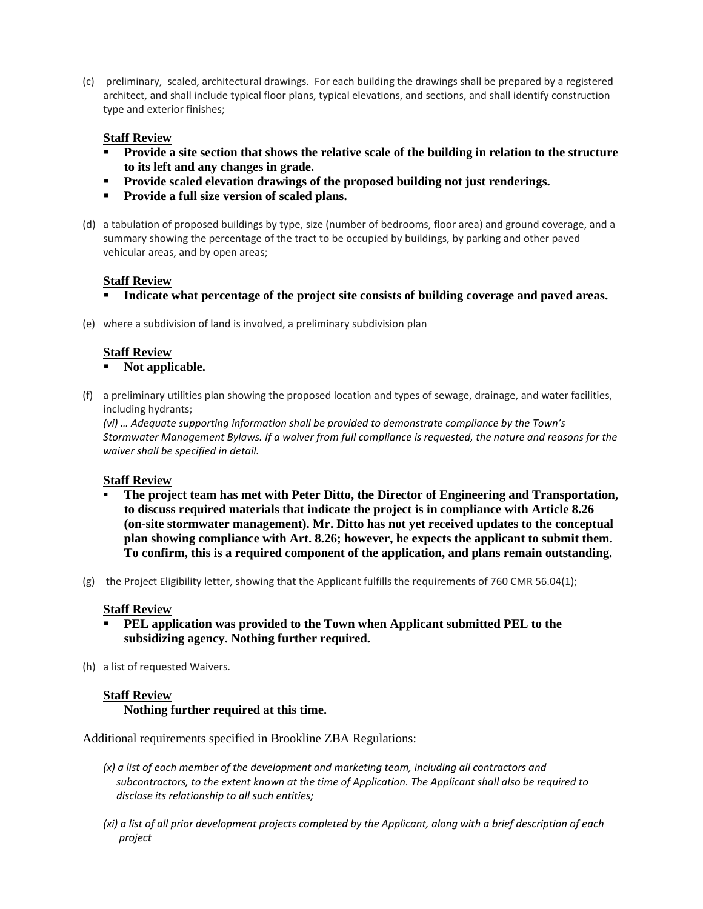(c) preliminary, scaled, architectural drawings. For each building the drawings shall be prepared by a registered architect, and shall include typical floor plans, typical elevations, and sections, and shall identify construction type and exterior finishes;

#### **Staff Review**

- **Provide a site section that shows the relative scale of the building in relation to the structure to its left and any changes in grade.**
- **Provide scaled elevation drawings of the proposed building not just renderings.**
- **Provide a full size version of scaled plans.**
- (d) a tabulation of proposed buildings by type, size (number of bedrooms, floor area) and ground coverage, and a summary showing the percentage of the tract to be occupied by buildings, by parking and other paved vehicular areas, and by open areas;

# **Staff Review**

- **Indicate what percentage of the project site consists of building coverage and paved areas.**
- (e) where a subdivision of land is involved, a preliminary subdivision plan

#### **Staff Review**

**Not applicable.**

(f) a preliminary utilities plan showing the proposed location and types of sewage, drainage, and water facilities, including hydrants;

*(vi) … Adequate supporting information shall be provided to demonstrate compliance by the Town's Stormwater Management Bylaws. If a waiver from full compliance is requested, the nature and reasons for the waiver shall be specified in detail.*

#### **Staff Review**

- **The project team has met with Peter Ditto, the Director of Engineering and Transportation, to discuss required materials that indicate the project is in compliance with Article 8.26 (on-site stormwater management). Mr. Ditto has not yet received updates to the conceptual plan showing compliance with Art. 8.26; however, he expects the applicant to submit them. To confirm, this is a required component of the application, and plans remain outstanding.**
- (g) the Project Eligibility letter, showing that the Applicant fulfills the requirements of 760 CMR 56.04(1);

#### **Staff Review**

- **PEL application was provided to the Town when Applicant submitted PEL to the subsidizing agency. Nothing further required.**
- (h) a list of requested Waivers.

# **Staff Review**

# **Nothing further required at this time.**

Additional requirements specified in Brookline ZBA Regulations:

- *(x) a list of each member of the development and marketing team, including all contractors and subcontractors, to the extent known at the time of Application. The Applicant shall also be required to disclose its relationship to all such entities;*
- *(xi) a list of all prior development projects completed by the Applicant, along with a brief description of each project*